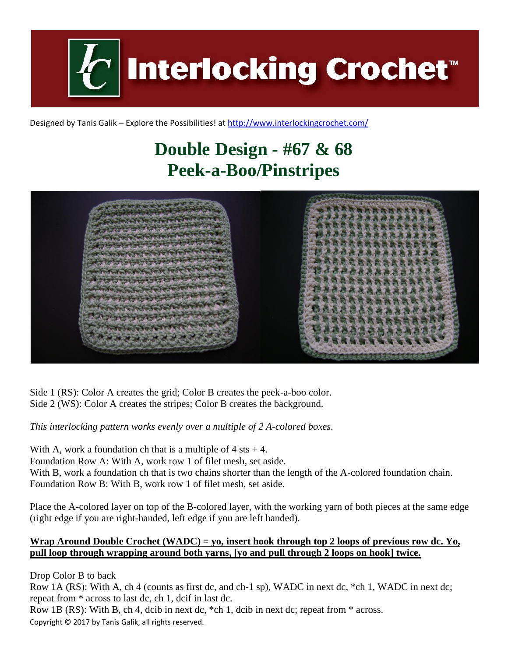**Interlocking Crochet** 

Designed by Tanis Galik – Explore the Possibilities! a[t http://www.interlockingcrochet.com/](http://www.interlockingcrochet.com/)

## **Double Design - #67 & 68 Peek-a-Boo/Pinstripes**



Side 1 (RS): Color A creates the grid; Color B creates the peek-a-boo color. Side 2 (WS): Color A creates the stripes; Color B creates the background.

*This interlocking pattern works evenly over a multiple of 2 A-colored boxes.*

With A, work a foundation ch that is a multiple of  $4$  sts  $+4$ . Foundation Row A: With A, work row 1 of filet mesh, set aside. With B, work a foundation ch that is two chains shorter than the length of the A-colored foundation chain. Foundation Row B: With B, work row 1 of filet mesh, set aside.

Place the A-colored layer on top of the B-colored layer, with the working yarn of both pieces at the same edge (right edge if you are right-handed, left edge if you are left handed).

## **Wrap Around Double Crochet (WADC) = yo, insert hook through top 2 loops of previous row dc. Yo, pull loop through wrapping around both yarns, [yo and pull through 2 loops on hook] twice.**

Drop Color B to back

Row 1A (RS): With A, ch 4 (counts as first dc, and ch-1 sp), WADC in next dc, \*ch 1, WADC in next dc; repeat from \* across to last dc, ch 1, dcif in last dc.

Copyright © 2017 by Tanis Galik, all rights reserved. Row 1B (RS): With B, ch 4, dcib in next dc, \*ch 1, dcib in next dc; repeat from \* across.